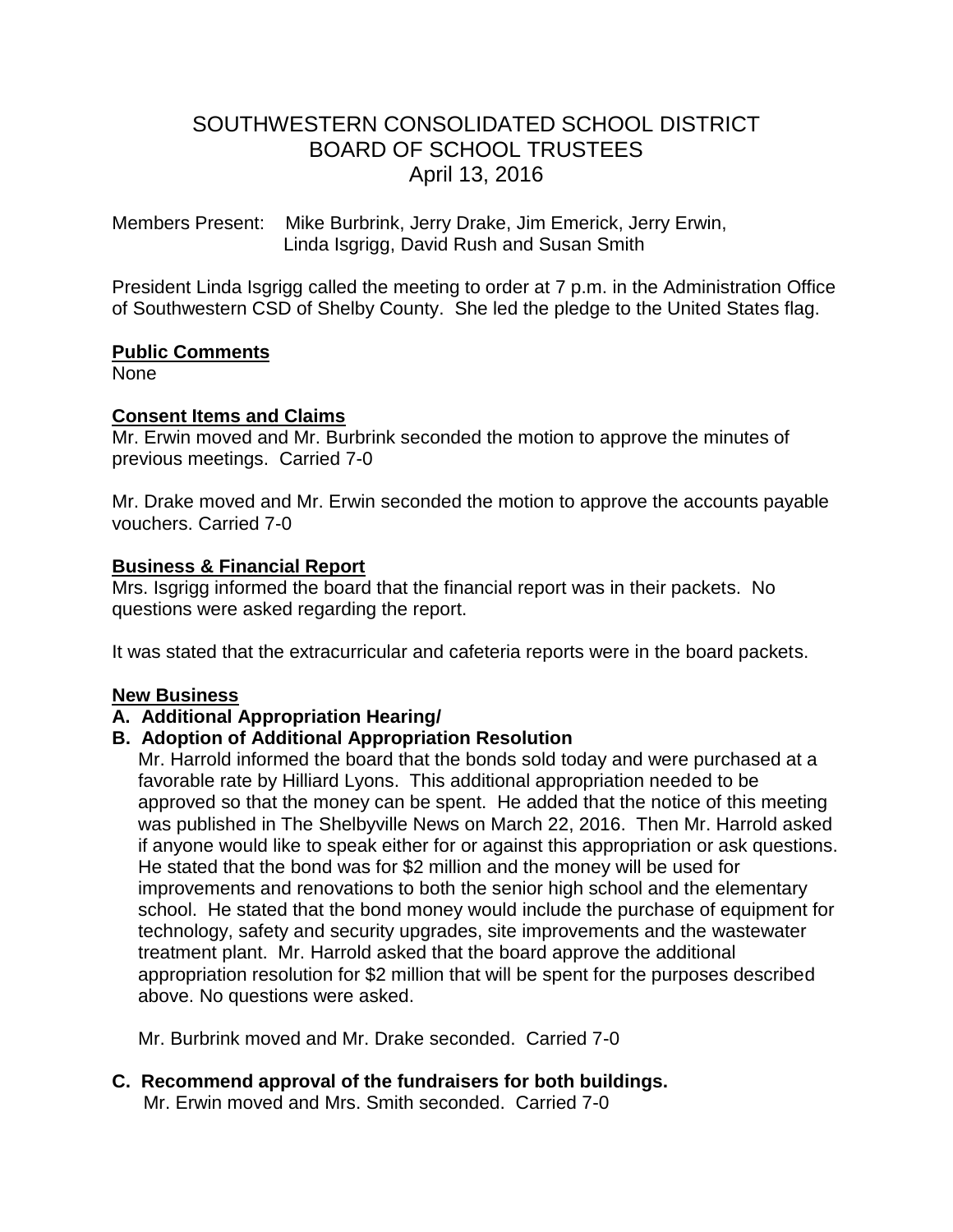# SOUTHWESTERN CONSOLIDATED SCHOOL DISTRICT BOARD OF SCHOOL TRUSTEES April 13, 2016

Members Present: Mike Burbrink, Jerry Drake, Jim Emerick, Jerry Erwin, Linda Isgrigg, David Rush and Susan Smith

President Linda Isgrigg called the meeting to order at 7 p.m. in the Administration Office of Southwestern CSD of Shelby County. She led the pledge to the United States flag.

#### **Public Comments**

None

### **Consent Items and Claims**

Mr. Erwin moved and Mr. Burbrink seconded the motion to approve the minutes of previous meetings. Carried 7-0

Mr. Drake moved and Mr. Erwin seconded the motion to approve the accounts payable vouchers. Carried 7-0

#### **Business & Financial Report**

Mrs. Isgrigg informed the board that the financial report was in their packets. No questions were asked regarding the report.

It was stated that the extracurricular and cafeteria reports were in the board packets.

### **New Business**

### **A. Additional Appropriation Hearing/**

### **B. Adoption of Additional Appropriation Resolution**

 Mr. Harrold informed the board that the bonds sold today and were purchased at a favorable rate by Hilliard Lyons. This additional appropriation needed to be approved so that the money can be spent. He added that the notice of this meeting was published in The Shelbyville News on March 22, 2016. Then Mr. Harrold asked if anyone would like to speak either for or against this appropriation or ask questions. He stated that the bond was for \$2 million and the money will be used for improvements and renovations to both the senior high school and the elementary school. He stated that the bond money would include the purchase of equipment for technology, safety and security upgrades, site improvements and the wastewater treatment plant. Mr. Harrold asked that the board approve the additional appropriation resolution for \$2 million that will be spent for the purposes described above. No questions were asked.

Mr. Burbrink moved and Mr. Drake seconded. Carried 7-0

## **C. Recommend approval of the fundraisers for both buildings.**

Mr. Erwin moved and Mrs. Smith seconded. Carried 7-0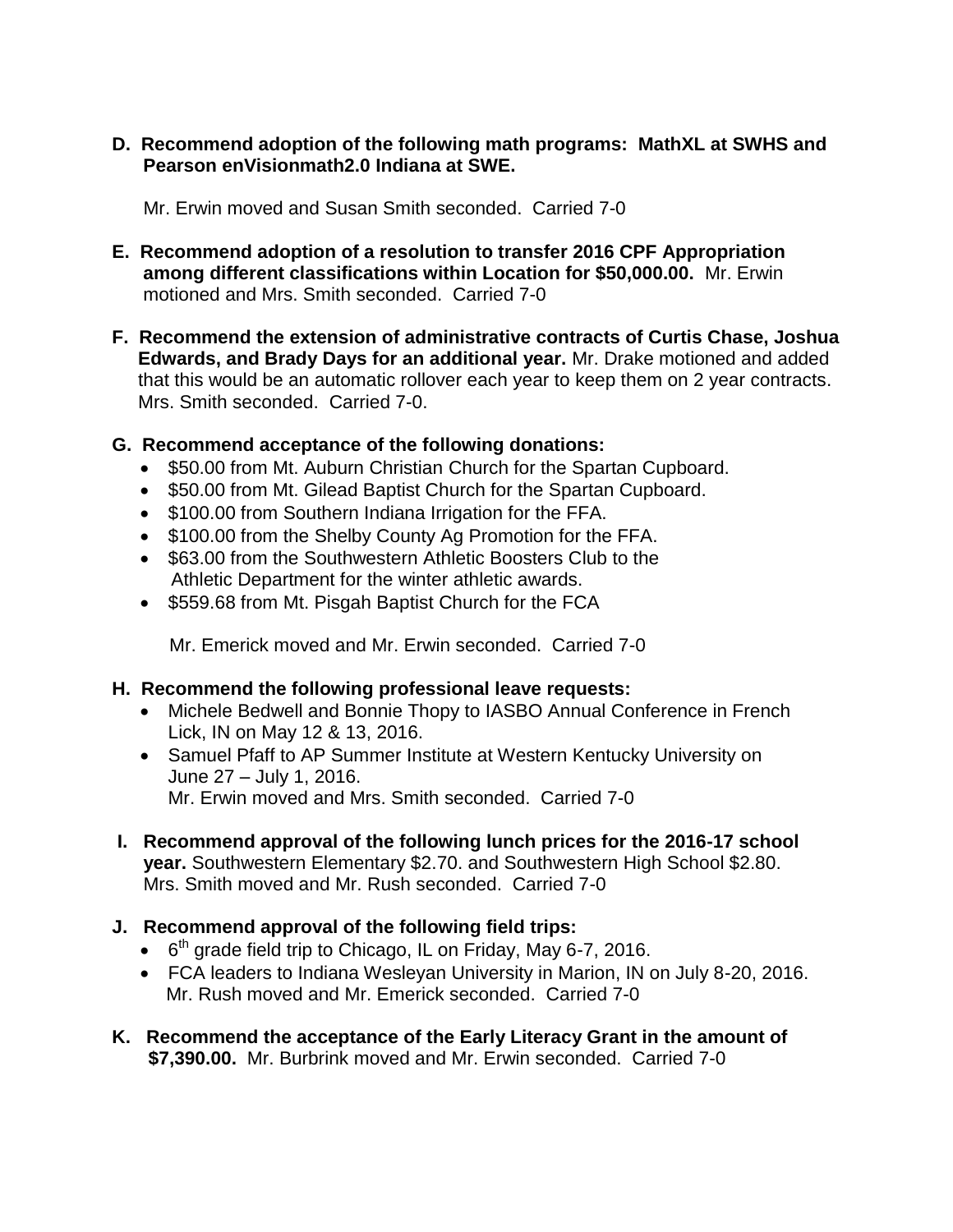**D. Recommend adoption of the following math programs: MathXL at SWHS and Pearson enVisionmath2.0 Indiana at SWE.**

Mr. Erwin moved and Susan Smith seconded. Carried 7-0

- **E. Recommend adoption of a resolution to transfer 2016 CPF Appropriation among different classifications within Location for \$50,000.00.** Mr. Erwin motioned and Mrs. Smith seconded. Carried 7-0
- **F. Recommend the extension of administrative contracts of Curtis Chase, Joshua Edwards, and Brady Days for an additional year.** Mr. Drake motioned and added that this would be an automatic rollover each year to keep them on 2 year contracts. Mrs. Smith seconded. Carried 7-0.

## **G. Recommend acceptance of the following donations:**

- \$50.00 from Mt. Auburn Christian Church for the Spartan Cupboard.
- \$50.00 from Mt. Gilead Baptist Church for the Spartan Cupboard.
- \$100.00 from Southern Indiana Irrigation for the FFA.
- \$100.00 from the Shelby County Ag Promotion for the FFA.
- \$63.00 from the Southwestern Athletic Boosters Club to the Athletic Department for the winter athletic awards.
- \$559.68 from Mt. Pisgah Baptist Church for the FCA

Mr. Emerick moved and Mr. Erwin seconded. Carried 7-0

## **H. Recommend the following professional leave requests:**

- Michele Bedwell and Bonnie Thopy to IASBO Annual Conference in French Lick, IN on May 12 & 13, 2016.
- Samuel Pfaff to AP Summer Institute at Western Kentucky University on June 27 – July 1, 2016. Mr. Erwin moved and Mrs. Smith seconded. Carried 7-0
- **I. Recommend approval of the following lunch prices for the 2016-17 school year.** Southwestern Elementary \$2.70. and Southwestern High School \$2.80. Mrs. Smith moved and Mr. Rush seconded. Carried 7-0

## **J. Recommend approval of the following field trips:**

- $\bullet$  6<sup>th</sup> grade field trip to Chicago, IL on Friday, May 6-7, 2016.
- FCA leaders to Indiana Wesleyan University in Marion, IN on July 8-20, 2016. Mr. Rush moved and Mr. Emerick seconded. Carried 7-0
- **K. Recommend the acceptance of the Early Literacy Grant in the amount of \$7,390.00.** Mr. Burbrink moved and Mr. Erwin seconded. Carried 7-0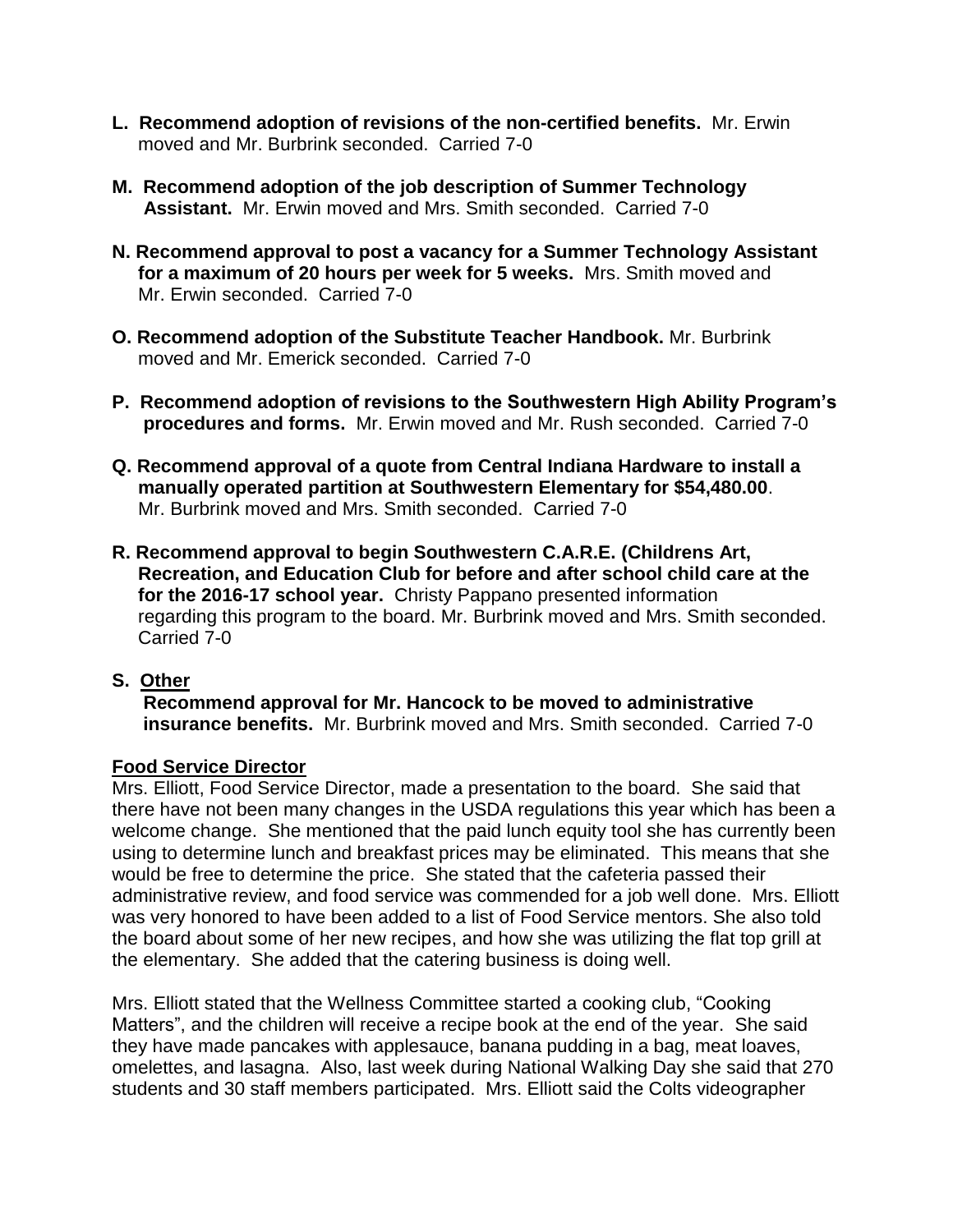- **L. Recommend adoption of revisions of the non-certified benefits.** Mr. Erwin moved and Mr. Burbrink seconded. Carried 7-0
- **M. Recommend adoption of the job description of Summer Technology Assistant.** Mr. Erwin moved and Mrs. Smith seconded. Carried 7-0
- **N. Recommend approval to post a vacancy for a Summer Technology Assistant for a maximum of 20 hours per week for 5 weeks.** Mrs. Smith moved and Mr. Erwin seconded. Carried 7-0
- **O. Recommend adoption of the Substitute Teacher Handbook.** Mr. Burbrink moved and Mr. Emerick seconded. Carried 7-0
- **P. Recommend adoption of revisions to the Southwestern High Ability Program's procedures and forms.** Mr. Erwin moved and Mr. Rush seconded. Carried 7-0
- **Q. Recommend approval of a quote from Central Indiana Hardware to install a manually operated partition at Southwestern Elementary for \$54,480.00**. Mr. Burbrink moved and Mrs. Smith seconded. Carried 7-0
- **R. Recommend approval to begin Southwestern C.A.R.E. (Childrens Art, Recreation, and Education Club for before and after school child care at the for the 2016-17 school year.** Christy Pappano presented information regarding this program to the board. Mr. Burbrink moved and Mrs. Smith seconded. Carried 7-0
- **S. Other**

 **Recommend approval for Mr. Hancock to be moved to administrative insurance benefits.** Mr. Burbrink moved and Mrs. Smith seconded. Carried 7-0

### **Food Service Director**

Mrs. Elliott, Food Service Director, made a presentation to the board. She said that there have not been many changes in the USDA regulations this year which has been a welcome change. She mentioned that the paid lunch equity tool she has currently been using to determine lunch and breakfast prices may be eliminated. This means that she would be free to determine the price. She stated that the cafeteria passed their administrative review, and food service was commended for a job well done. Mrs. Elliott was very honored to have been added to a list of Food Service mentors. She also told the board about some of her new recipes, and how she was utilizing the flat top grill at the elementary. She added that the catering business is doing well.

Mrs. Elliott stated that the Wellness Committee started a cooking club, "Cooking Matters", and the children will receive a recipe book at the end of the year. She said they have made pancakes with applesauce, banana pudding in a bag, meat loaves, omelettes, and lasagna. Also, last week during National Walking Day she said that 270 students and 30 staff members participated. Mrs. Elliott said the Colts videographer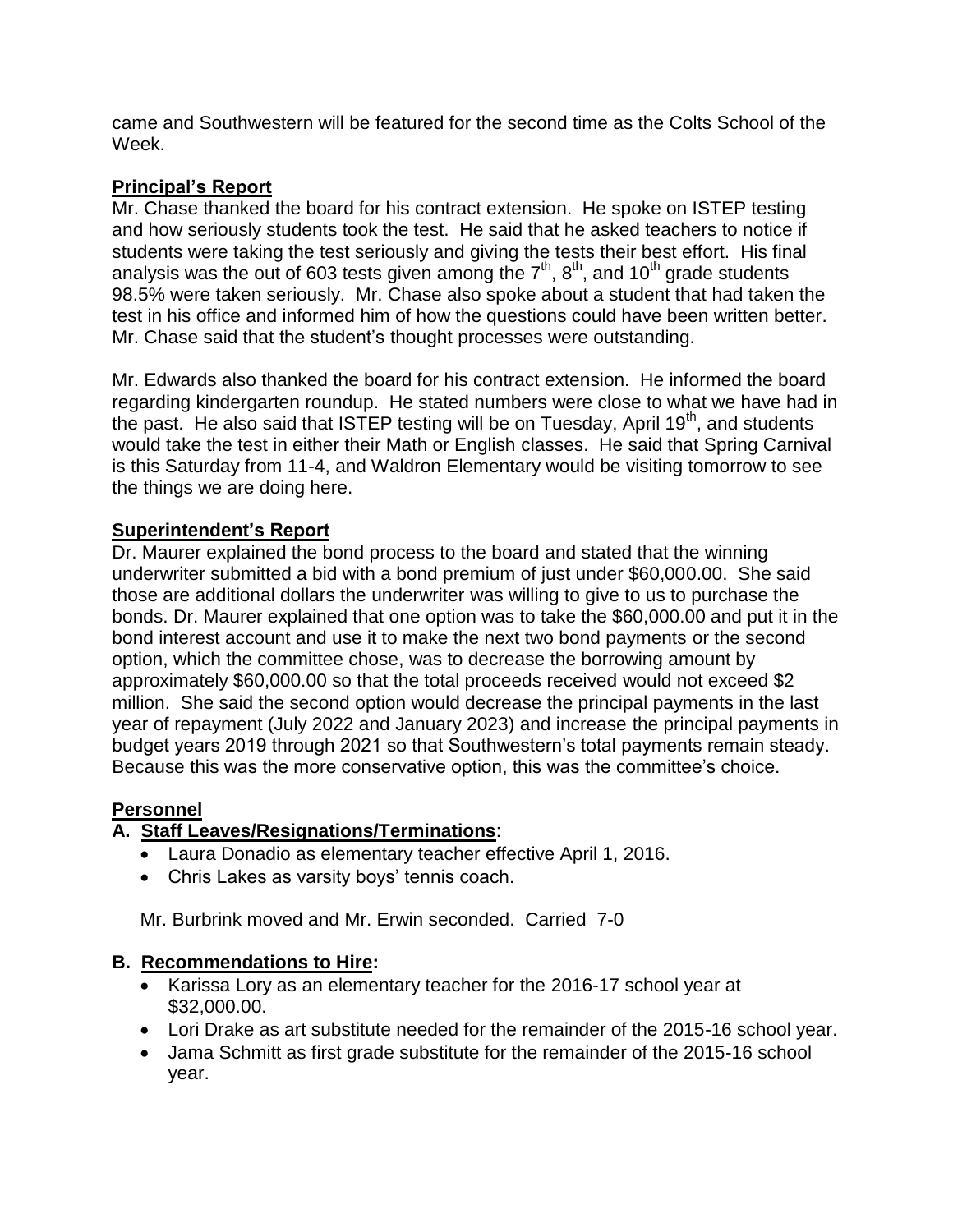came and Southwestern will be featured for the second time as the Colts School of the Week.

## **Principal's Report**

Mr. Chase thanked the board for his contract extension. He spoke on ISTEP testing and how seriously students took the test. He said that he asked teachers to notice if students were taking the test seriously and giving the tests their best effort. His final analysis was the out of 603 tests given among the  $7<sup>th</sup>$ ,  $8<sup>th</sup>$ , and 10<sup>th</sup> grade students 98.5% were taken seriously. Mr. Chase also spoke about a student that had taken the test in his office and informed him of how the questions could have been written better. Mr. Chase said that the student's thought processes were outstanding.

Mr. Edwards also thanked the board for his contract extension. He informed the board regarding kindergarten roundup. He stated numbers were close to what we have had in the past. He also said that ISTEP testing will be on Tuesday, April  $19<sup>th</sup>$ , and students would take the test in either their Math or English classes. He said that Spring Carnival is this Saturday from 11-4, and Waldron Elementary would be visiting tomorrow to see the things we are doing here.

## **Superintendent's Report**

Dr. Maurer explained the bond process to the board and stated that the winning underwriter submitted a bid with a bond premium of just under \$60,000.00. She said those are additional dollars the underwriter was willing to give to us to purchase the bonds. Dr. Maurer explained that one option was to take the \$60,000.00 and put it in the bond interest account and use it to make the next two bond payments or the second option, which the committee chose, was to decrease the borrowing amount by approximately \$60,000.00 so that the total proceeds received would not exceed \$2 million. She said the second option would decrease the principal payments in the last year of repayment (July 2022 and January 2023) and increase the principal payments in budget years 2019 through 2021 so that Southwestern's total payments remain steady. Because this was the more conservative option, this was the committee's choice.

## **Personnel**

## **A. Staff Leaves/Resignations/Terminations**:

- Laura Donadio as elementary teacher effective April 1, 2016.
- Chris Lakes as varsity boys' tennis coach.

Mr. Burbrink moved and Mr. Erwin seconded. Carried 7-0

### **B. Recommendations to Hire:**

- Karissa Lory as an elementary teacher for the 2016-17 school year at \$32,000.00.
- Lori Drake as art substitute needed for the remainder of the 2015-16 school year.
- Jama Schmitt as first grade substitute for the remainder of the 2015-16 school year.